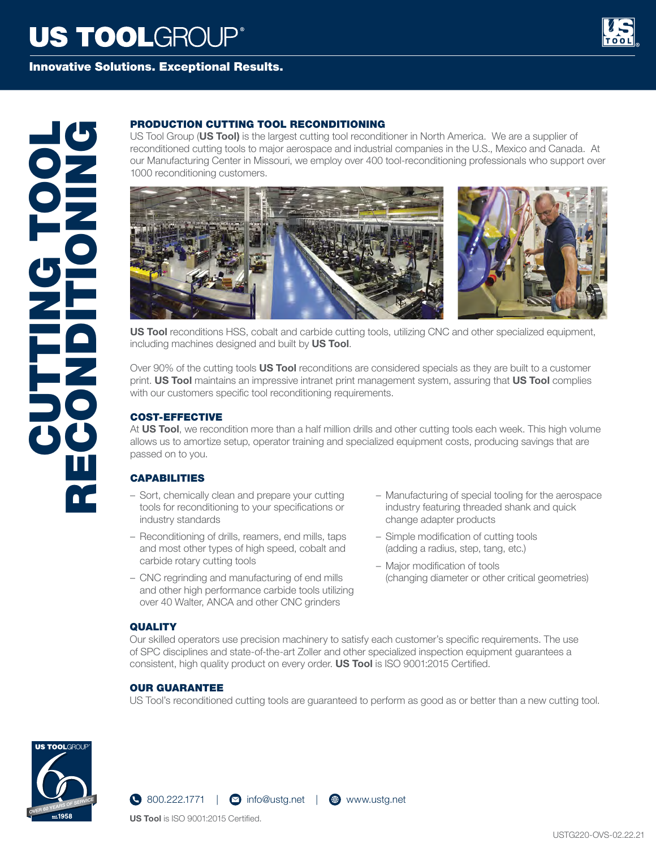# **US TOOLGROUP®**



### Innovative Solutions. Exceptional Results.

US Tool Group (**US Tool)** is the largest cutting tool reconditioner in North America. We are a supplier of reconditioned cutting tools to major aerospace and industrial companies in the U.S., Mexico and Canada. At our Manufacturing Center in Missouri, we employ over 400 tool-reconditioning professionals who support over 1000 reconditioning customers.



**US Tool** reconditions HSS, cobalt and carbide cutting tools, utilizing CNC and other specialized equipment, including machines designed and built by **US Tool**.

Over 90% of the cutting tools **US Tool** reconditions are considered specials as they are built to a customer print. **US Tool** maintains an impressive intranet print management system, assuring that **US Tool** complies with our customers specific tool reconditioning requirements.

#### COST-EFFECTIVE

At **US Tool**, we recondition more than a half million drills and other cutting tools each week. This high volume allows us to amortize setup, operator training and specialized equipment costs, producing savings that are passed on to you.

#### **CAPABILITIES**

- Sort, chemically clean and prepare your cutting tools for reconditioning to your specifications or industry standards
- Reconditioning of drills, reamers, end mills, taps and most other types of high speed, cobalt and carbide rotary cutting tools
- CNC regrinding and manufacturing of end mills and other high performance carbide tools utilizing over 40 Walter, ANCA and other CNC grinders
- Manufacturing of special tooling for the aerospace industry featuring threaded shank and quick change adapter products
- Simple modification of cutting tools (adding a radius, step, tang, etc.)
- Major modification of tools (changing diameter or other critical geometries)

#### **QUALITY**

Our skilled operators use precision machinery to satisfy each customer's specific requirements. The use of SPC disciplines and state-of-the-art Zoller and other specialized inspection equipment guarantees a consistent, high quality product on every order. **US Tool** is ISO 9001:2015 Certified.

#### OUR GUARANTEE

US Tool's reconditioned cutting tools are guaranteed to perform as good as or better than a new cutting tool.